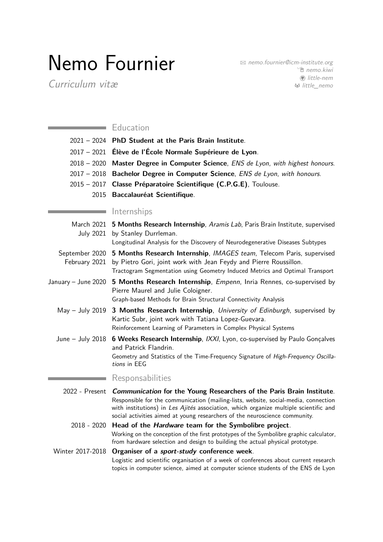# Nemo Fournier

Curriculum vitæ

 $\boxtimes$  [nemo.fournier@icm-institute.org](mailto:nemo.fournier@icm-institute.org) <sup>1</sup> [nemo.kiwi](https://nemo.kiwi) **A** [little-nem](https://www.github.com/little-nem) ß [little\\_nemo](https://www.gitlab.com/little_nemo)

## **Education**

| 2021 - 2024 PhD Student at the Paris Brain Institute.                               |
|-------------------------------------------------------------------------------------|
| 2017 - 2021 Élève de l'École Normale Supérieure de Lyon.                            |
| 2018 – 2020 Master Degree in Computer Science, ENS de Lyon, with highest honours.   |
| 2017 – 2018 Bachelor Degree in Computer Science, <i>ENS de Lyon, with honours</i> . |
| 2015 – 2017 Classe Préparatoire Scientifique (C.P.G.E), Toulouse.                   |
| 2015 Baccalauréat Scientifique.                                                     |
|                                                                                     |

## Internships

| March 2021 5 Months Research Internship, Aramis Lab, Paris Brain Institute, supervised |
|----------------------------------------------------------------------------------------|
| July 2021 by Stanley Durrleman.                                                        |
| Longitudinal Analysis for the Discovery of Neurodegenerative Diseases Subtypes         |

- September 2020 5 Months Research Internship, [IMAGES team](https://www.telecom-paris.fr/fr/recherche/laboratoires/laboratoire-traitement-et-communication-de-linformation-ltci/les-equipes-de-recherche/image-modelisation-analyse-geometrie-synthese-images), Telecom Paris, supervised February 2021 by [Pietro Gori,](https://perso.telecom-paristech.fr/pgori/) joint work with [Jean Feydy](http://www.jeanfeydy.com/) and [Pierre Roussillon.](https://proussillon.gitlab.io/) Tractogram Segmentation using Geometry Induced Metrics and Optimal Transport
- January June 2020 **5 Months Research Internship**, [Empenn](https://team.inria.fr/empenn/), Inria Rennes, co-supervised by [Pierre Maurel](http://www.normalesup.org/~pmaurel/) and [Julie Coloigner.](https://team.inria.fr/empenn/team-members/julie-coloigner/) [Graph-based Methods for Brain Structural Connectivity Analysis](https://nemo.kiwi/studies/M2/internship/report.pdf)
	- May July 2019 **3 Months Research Internship**, [University of Edinburgh](https://www.ed.ac.uk/informatics), supervised by [Kartic Subr,](http://homepages.inf.ed.ac.uk/ksubr/) joint work with [Tatiana Lopez-Guevara.](http://zepolitat.co/) [Reinforcement Learning of Parameters in Complex Physical Systems](https://nemo.kiwi/studies/M1/internship/report.pdf)
	- June July 2018 **6 Weeks Research Internship**, [IXXI](http://www.ixxi.fr/), Lyon, co-supervised by [Paulo Gonçalves](http://perso.ens-lyon.fr/paulo.goncalves/) and [Patrick Flandrin.](http://perso.ens-lyon.fr/patrick.flandrin/) [Geometry and Statistics of the Time-Frequency Signature of](http://nemo.kiwi/studies/L3/internship/rapport.pdf) High-Frequency Oscillations [in EEG](http://nemo.kiwi/studies/L3/internship/rapport.pdf)

### Responsabilities

2022 - Present **Communication for the Young Researchers of the Paris Brain Institute**. Responsible for the communication (mailing-lists, website, social-media, connection with institutions) in [Les Ajités](https://www.ajites.fr/) association, which organize multiple scientific and social activities aimed at young researchers of the neuroscience community.

# 2018 - 2020 **Head of the Hardware team for the [Symbolibre](http://symbolibre.org/) project**. Working on the conception of the first prototypes of the Symbolibre graphic calculator, from hardware selection and design to building the actual physical prototype.

#### Winter 2017-2018 **Organiser of a sport-study conference week**.

Logistic and scientific organisation of a week of conferences about current research topics in computer science, aimed at computer science students of the ENS de Lyon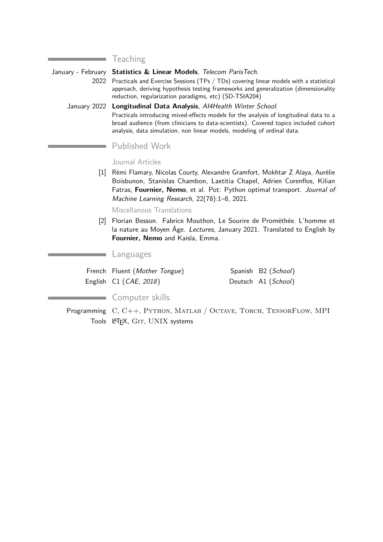**Teaching** 

۰

January - February **Statistics & Linear Models**, Telecom ParisTech. 2022 Practicals and Exercise Sessions (TPs / TDs) covering linear models with a statistical approach, deriving hypothesis testing frameworks and generalization (dimensionality reduction, regularization paradigms, etc) (SD-TSIA204) January 2022 **Longitudinal Data Analysis**, AI4Health Winter School. Practicals introducing mixed-effects models for the analysis of longitudinal data to a broad audience (from clinicians to data-scientists). Covered topics included cohort analysis, data simulation, non linear models, modeling of ordinal data. Published Work Journal Articles [1] Rémi Flamary, Nicolas Courty, Alexandre Gramfort, Mokhtar Z Alaya, Aurélie Boisbunon, Stanislas Chambon, Laetitia Chapel, Adrien Corenflos, Kilian Fatras, **Fournier, Nemo**, et al. Pot: Python optimal transport. Journal of Machine Learning Research, 22(78):1–8, 2021. Miscellanous Translations [2] Florian Besson. Fabrice Mouthon, Le Sourire de Prométhée. L'homme et la nature au Moyen Âge. Lectures, January 2021. Translated to English by

# Languages

| French Fluent (Mother Tongue)   | Spanish B2 (School) |
|---------------------------------|---------------------|
| English C1 ( <i>CAE</i> , 2018) | Deutsch A1 (School) |

**Fournier, Nemo** and Kaisla, Emma.

#### Computer skills

Programming C, C++, PYTHON, MATLAB / OCTAVE, TORCH, TENSORFLOW, MPI Tools LATEX, GIT, UNIX systems